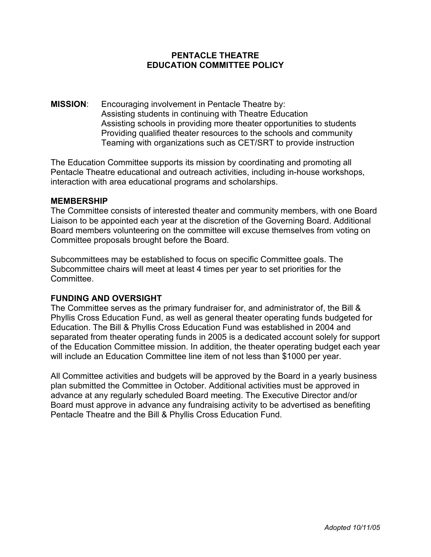## **PENTACLE THEATRE EDUCATION COMMITTEE POLICY**

**MISSION**: Encouraging involvement in Pentacle Theatre by: Assisting students in continuing with Theatre Education Assisting schools in providing more theater opportunities to students Providing qualified theater resources to the schools and community Teaming with organizations such as CET/SRT to provide instruction

The Education Committee supports its mission by coordinating and promoting all Pentacle Theatre educational and outreach activities, including in-house workshops, interaction with area educational programs and scholarships.

### **MEMBERSHIP**

The Committee consists of interested theater and community members, with one Board Liaison to be appointed each year at the discretion of the Governing Board. Additional Board members volunteering on the committee will excuse themselves from voting on Committee proposals brought before the Board.

Subcommittees may be established to focus on specific Committee goals. The Subcommittee chairs will meet at least 4 times per year to set priorities for the Committee.

### **FUNDING AND OVERSIGHT**

The Committee serves as the primary fundraiser for, and administrator of, the Bill & Phyllis Cross Education Fund, as well as general theater operating funds budgeted for Education. The Bill & Phyllis Cross Education Fund was established in 2004 and separated from theater operating funds in 2005 is a dedicated account solely for support of the Education Committee mission. In addition, the theater operating budget each year will include an Education Committee line item of not less than \$1000 per year.

All Committee activities and budgets will be approved by the Board in a yearly business plan submitted the Committee in October. Additional activities must be approved in advance at any regularly scheduled Board meeting. The Executive Director and/or Board must approve in advance any fundraising activity to be advertised as benefiting Pentacle Theatre and the Bill & Phyllis Cross Education Fund.